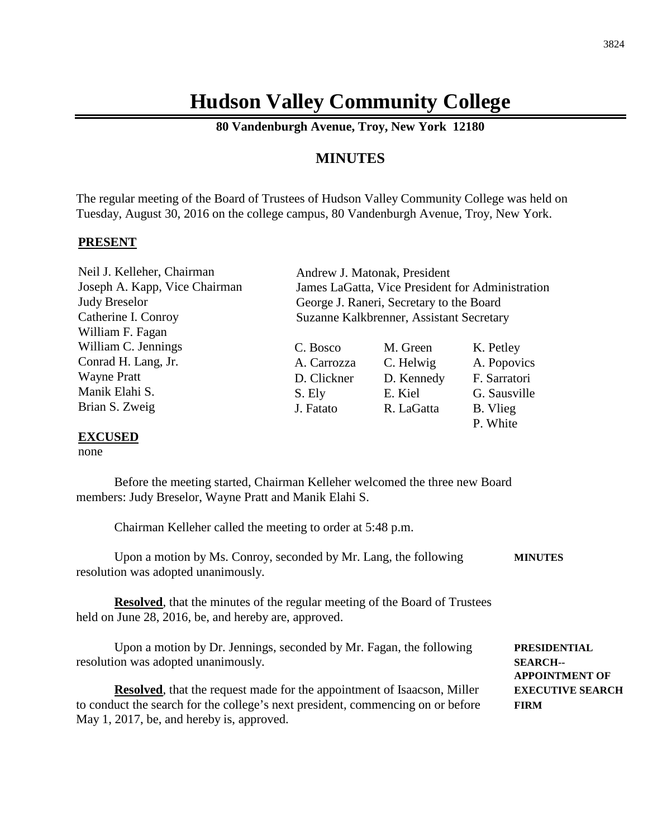## **Hudson Valley Community College**

**80 Vandenburgh Avenue, Troy, New York 12180**

### **MINUTES**

The regular meeting of the Board of Trustees of Hudson Valley Community College was held on Tuesday, August 30, 2016 on the college campus, 80 Vandenburgh Avenue, Troy, New York.

### **PRESENT**

Neil J. Kelleher, Chairman Joseph A. Kapp, Vice Chairman Judy Breselor Catherine I. Conroy William F. Fagan William C. Jennings Conrad H. Lang, Jr. Wayne Pratt Manik Elahi S. Brian S. Zweig

Andrew J. Matonak, President James LaGatta, Vice President for Administration George J. Raneri, Secretary to the Board Suzanne Kalkbrenner, Assistant Secretary

| C. Bosco    | M. Green   | K. Petley    |
|-------------|------------|--------------|
| A. Carrozza | C. Helwig  | A. Popovics  |
| D. Clickner | D. Kennedy | F. Sarratori |
| S. Ely      | E. Kiel    | G. Sausville |
| J. Fatato   | R. LaGatta | B. Vlieg     |
|             |            | P. White     |

### **EXCUSED**

#### none

Before the meeting started, Chairman Kelleher welcomed the three new Board members: Judy Breselor, Wayne Pratt and Manik Elahi S.

Chairman Kelleher called the meeting to order at 5:48 p.m.

| Upon a motion by Ms. Conroy, seconded by Mr. Lang, the following                 | <b>MINUTES</b> |
|----------------------------------------------------------------------------------|----------------|
| resolution was adopted unanimously.                                              |                |
| <b>Desplayed</b> that the minutes of the regular meeting of the Deem of Tweetees |                |

**Resolved**, that the minutes of the regular meeting of the Board of Trustees held on June 28, 2016, be, and hereby are, approved.

Upon a motion by Dr. Jennings, seconded by Mr. Fagan, the following **PRESIDENTIAL** resolution was adopted unanimously. **SEARCH--**

**Resolved**, that the request made for the appointment of Isaacson, Miller **EXECUTIVE SEARCH** to conduct the search for the college's next president, commencing on or before **FIRM** May 1, 2017, be, and hereby is, approved.

**APPOINTMENT OF**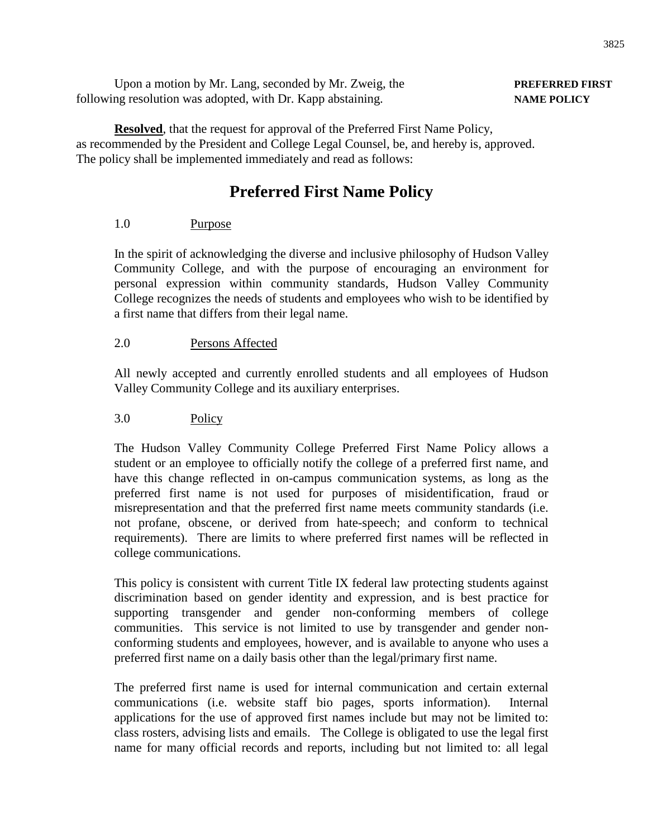| Upon a motion by Mr. Lang, seconded by Mr. Zweig, the       | <b>PREFERRED FI</b> |
|-------------------------------------------------------------|---------------------|
| following resolution was adopted, with Dr. Kapp abstaining. | <b>NAME POLICY</b>  |

**Resolved**, that the request for approval of the Preferred First Name Policy, as recommended by the President and College Legal Counsel, be, and hereby is, approved. The policy shall be implemented immediately and read as follows:

### **Preferred First Name Policy**

### 1.0 Purpose

In the spirit of acknowledging the diverse and inclusive philosophy of Hudson Valley Community College, and with the purpose of encouraging an environment for personal expression within community standards, Hudson Valley Community College recognizes the needs of students and employees who wish to be identified by a first name that differs from their legal name.

### 2.0 Persons Affected

All newly accepted and currently enrolled students and all employees of Hudson Valley Community College and its auxiliary enterprises.

### 3.0 Policy

The Hudson Valley Community College Preferred First Name Policy allows a student or an employee to officially notify the college of a preferred first name, and have this change reflected in on-campus communication systems, as long as the preferred first name is not used for purposes of misidentification, fraud or misrepresentation and that the preferred first name meets community standards (i.e. not profane, obscene, or derived from hate-speech; and conform to technical requirements). There are limits to where preferred first names will be reflected in college communications.

This policy is consistent with current Title IX federal law protecting students against discrimination based on gender identity and expression, and is best practice for supporting transgender and gender non-conforming members of college communities. This service is not limited to use by transgender and gender nonconforming students and employees, however, and is available to anyone who uses a preferred first name on a daily basis other than the legal/primary first name.

The preferred first name is used for internal communication and certain external communications (i.e. website staff bio pages, sports information). Internal applications for the use of approved first names include but may not be limited to: class rosters, advising lists and emails. The College is obligated to use the legal first name for many official records and reports, including but not limited to: all legal

# **PREFERRED FIRST**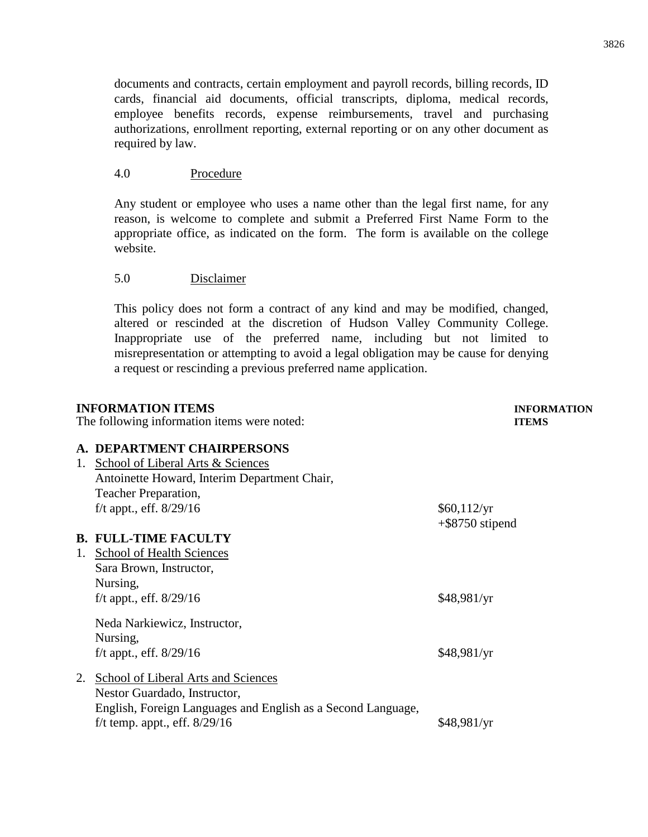documents and contracts, certain employment and payroll records, billing records, ID cards, financial aid documents, official transcripts, diploma, medical records, employee benefits records, expense reimbursements, travel and purchasing authorizations, enrollment reporting, external reporting or on any other document as required by law.

### 4.0 Procedure

Any student or employee who uses a name other than the legal first name, for any reason, is welcome to complete and submit a Preferred First Name Form to the appropriate office, as indicated on the form. The form is available on the college website.

### 5.0 Disclaimer

This policy does not form a contract of any kind and may be modified, changed, altered or rescinded at the discretion of Hudson Valley Community College. Inappropriate use of the preferred name, including but not limited to misrepresentation or attempting to avoid a legal obligation may be cause for denying a request or rescinding a previous preferred name application.

|    | <b>INFORMATION ITEMS</b>                                                                                                                                               | <b>INFORMATION</b>                |
|----|------------------------------------------------------------------------------------------------------------------------------------------------------------------------|-----------------------------------|
|    | The following information items were noted:                                                                                                                            | <b>ITEMS</b>                      |
| 1. | A. DEPARTMENT CHAIRPERSONS<br>School of Liberal Arts & Sciences<br>Antoinette Howard, Interim Department Chair,                                                        |                                   |
|    | Teacher Preparation,<br>f/t appt., eff. $8/29/16$                                                                                                                      | \$60,112/yr<br>$+$ \$8750 stipend |
|    | <b>B. FULL-TIME FACULTY</b>                                                                                                                                            |                                   |
| 1. | <b>School of Health Sciences</b><br>Sara Brown, Instructor,<br>Nursing,<br>f/t appt., eff. $8/29/16$                                                                   | \$48,981/yr                       |
|    | Neda Narkiewicz, Instructor,<br>Nursing,<br>f/t appt., eff. $8/29/16$                                                                                                  | \$48,981/yr                       |
|    | School of Liberal Arts and Sciences<br>Nestor Guardado, Instructor,<br>English, Foreign Languages and English as a Second Language,<br>f/t temp. appt., eff. $8/29/16$ | \$48,981/yr                       |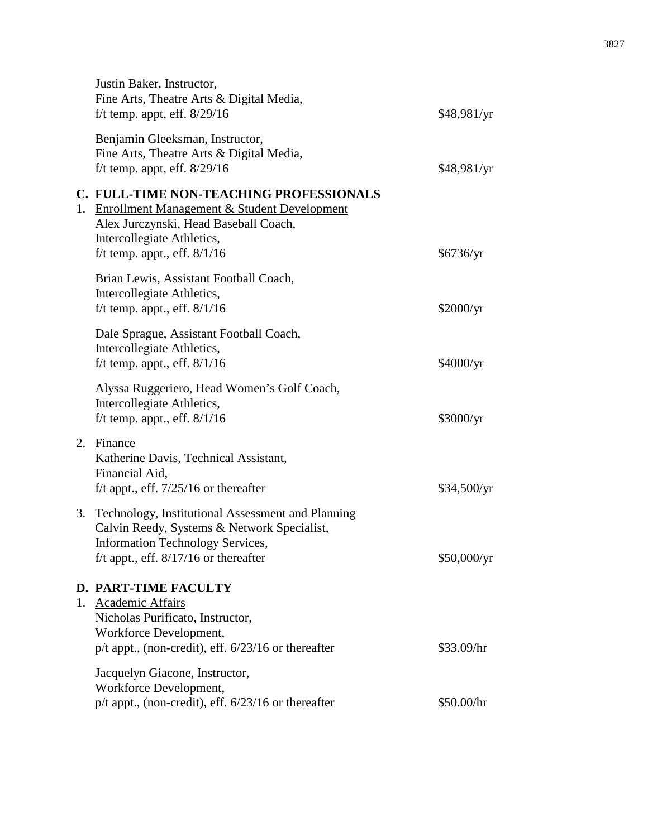|    | Justin Baker, Instructor,<br>Fine Arts, Theatre Arts & Digital Media,<br>f/t temp. appt, eff. $8/29/16$                                                                                                    | \$48,981/yr |
|----|------------------------------------------------------------------------------------------------------------------------------------------------------------------------------------------------------------|-------------|
|    | Benjamin Gleeksman, Instructor,<br>Fine Arts, Theatre Arts & Digital Media,<br>f/t temp. appt, eff. $8/29/16$                                                                                              | \$48,981/yr |
| 1. | C. FULL-TIME NON-TEACHING PROFESSIONALS<br><b>Enrollment Management &amp; Student Development</b><br>Alex Jurczynski, Head Baseball Coach,<br>Intercollegiate Athletics,<br>f/t temp. appt., eff. $8/1/16$ | \$6736/yr   |
|    | Brian Lewis, Assistant Football Coach,<br>Intercollegiate Athletics,<br>f/t temp. appt., eff. $8/1/16$                                                                                                     | \$2000/yr   |
|    | Dale Sprague, Assistant Football Coach,<br>Intercollegiate Athletics,<br>f/t temp. appt., eff. $8/1/16$                                                                                                    | \$4000/yr   |
|    | Alyssa Ruggeriero, Head Women's Golf Coach,<br>Intercollegiate Athletics,<br>f/t temp. appt., eff. $8/1/16$                                                                                                | \$3000/yr   |
| 2. | Finance<br>Katherine Davis, Technical Assistant,<br>Financial Aid,<br>f/t appt., eff. $7/25/16$ or thereafter                                                                                              | \$34,500/yr |
| 3. | <b>Technology, Institutional Assessment and Planning</b><br>Calvin Reedy, Systems & Network Specialist,<br><b>Information Technology Services,</b><br>f/t appt., eff. $8/17/16$ or thereafter              | \$50,000/yr |
| 1. | <b>D. PART-TIME FACULTY</b><br>Academic Affairs<br>Nicholas Purificato, Instructor,<br>Workforce Development,<br>$p/t$ appt., (non-credit), eff. $6/23/16$ or thereafter                                   | \$33.09/hr  |
|    | Jacquelyn Giacone, Instructor,<br>Workforce Development,<br>$p/t$ appt., (non-credit), eff. $6/23/16$ or thereafter                                                                                        | \$50.00/hr  |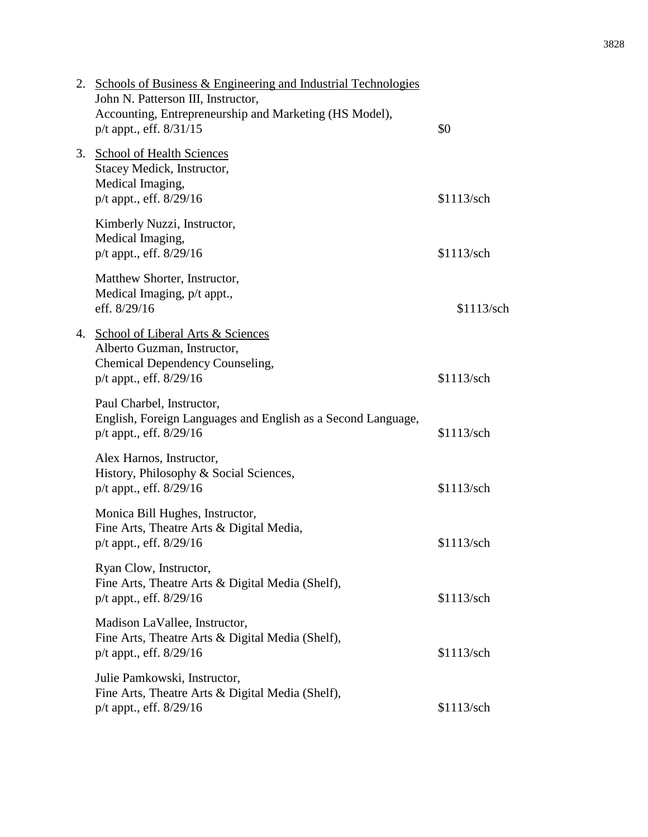|    | 2. Schools of Business & Engineering and Industrial Technologies<br>John N. Patterson III, Instructor,<br>Accounting, Entrepreneurship and Marketing (HS Model),<br>$p/t$ appt., eff. $8/31/15$ | \$0        |
|----|-------------------------------------------------------------------------------------------------------------------------------------------------------------------------------------------------|------------|
| 3. | <b>School of Health Sciences</b><br>Stacey Medick, Instructor,<br>Medical Imaging,<br>p/t appt., eff. 8/29/16                                                                                   | \$1113/sch |
|    | Kimberly Nuzzi, Instructor,<br>Medical Imaging,<br>p/t appt., eff. 8/29/16                                                                                                                      | \$1113/sch |
|    | Matthew Shorter, Instructor,<br>Medical Imaging, p/t appt.,<br>eff. 8/29/16                                                                                                                     | \$1113/sch |
| 4. | <b>School of Liberal Arts &amp; Sciences</b><br>Alberto Guzman, Instructor,<br>Chemical Dependency Counseling,<br>p/t appt., eff. 8/29/16                                                       | \$1113/sch |
|    | Paul Charbel, Instructor,<br>English, Foreign Languages and English as a Second Language,<br>p/t appt., eff. 8/29/16                                                                            | \$1113/sch |
|    | Alex Harnos, Instructor,<br>History, Philosophy & Social Sciences,<br>p/t appt., eff. 8/29/16                                                                                                   | \$1113/sch |
|    | Monica Bill Hughes, Instructor,<br>Fine Arts, Theatre Arts & Digital Media,<br>p/t appt., eff. 8/29/16                                                                                          | \$1113/sch |
|    | Ryan Clow, Instructor,<br>Fine Arts, Theatre Arts & Digital Media (Shelf),<br>p/t appt., eff. 8/29/16                                                                                           | \$1113/sch |
|    | Madison LaVallee, Instructor,<br>Fine Arts, Theatre Arts & Digital Media (Shelf),<br>p/t appt., eff. 8/29/16                                                                                    | \$1113/sch |
|    | Julie Pamkowski, Instructor,<br>Fine Arts, Theatre Arts & Digital Media (Shelf),<br>p/t appt., eff. 8/29/16                                                                                     | \$1113/sch |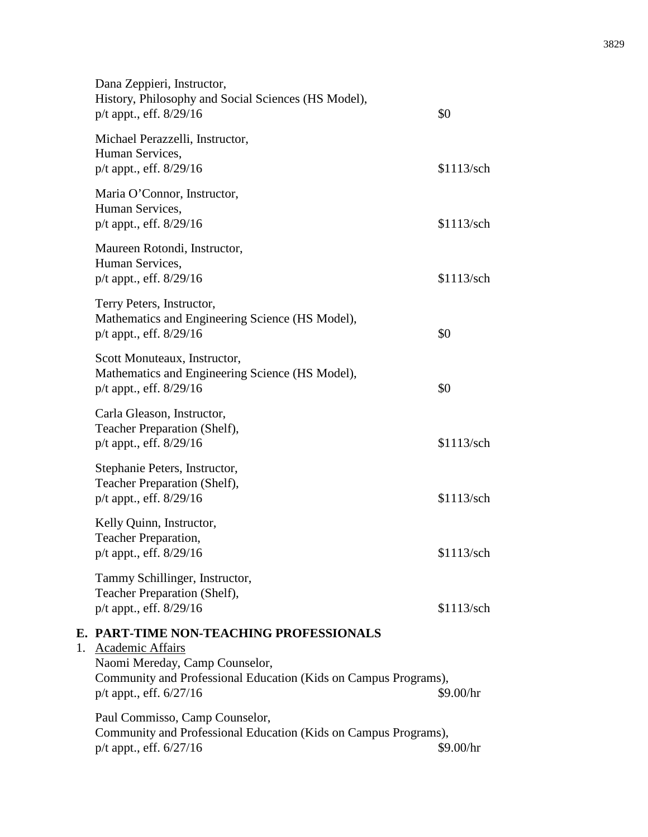|    | Dana Zeppieri, Instructor,<br>History, Philosophy and Social Sciences (HS Model),<br>$p/t$ appt., eff. $8/29/16$                                     | \$0        |
|----|------------------------------------------------------------------------------------------------------------------------------------------------------|------------|
|    | Michael Perazzelli, Instructor,<br>Human Services,<br>p/t appt., eff. 8/29/16                                                                        | \$1113/sch |
|    | Maria O'Connor, Instructor,<br>Human Services,<br>p/t appt., eff. 8/29/16                                                                            | \$1113/sch |
|    | Maureen Rotondi, Instructor,<br>Human Services,<br>p/t appt., eff. 8/29/16                                                                           | \$1113/sch |
|    | Terry Peters, Instructor,<br>Mathematics and Engineering Science (HS Model),<br>p/t appt., eff. 8/29/16                                              | \$0        |
|    | Scott Monuteaux, Instructor,<br>Mathematics and Engineering Science (HS Model),<br>$p/t$ appt., eff. $8/29/16$                                       | \$0        |
|    | Carla Gleason, Instructor,<br>Teacher Preparation (Shelf),<br>p/t appt., eff. 8/29/16                                                                | \$1113/sch |
|    | Stephanie Peters, Instructor,<br>Teacher Preparation (Shelf),<br>p/t appt., eff. 8/29/16                                                             | \$1113/sch |
|    | Kelly Quinn, Instructor,<br>Teacher Preparation,<br>p/t appt., eff. 8/29/16                                                                          | \$1113/sch |
|    | Tammy Schillinger, Instructor,<br>Teacher Preparation (Shelf),<br>p/t appt., eff. 8/29/16                                                            | \$1113/sch |
| Е. | <b>PART-TIME NON-TEACHING PROFESSIONALS</b>                                                                                                          |            |
| 1. | Academic Affairs<br>Naomi Mereday, Camp Counselor,<br>Community and Professional Education (Kids on Campus Programs),<br>$p/t$ appt., eff. $6/27/16$ | \$9.00/hr  |
|    | Paul Commisso, Camp Counselor,<br>Community and Professional Education (Kids on Campus Programs),<br>p/t appt., eff. 6/27/16                         | \$9.00/hr  |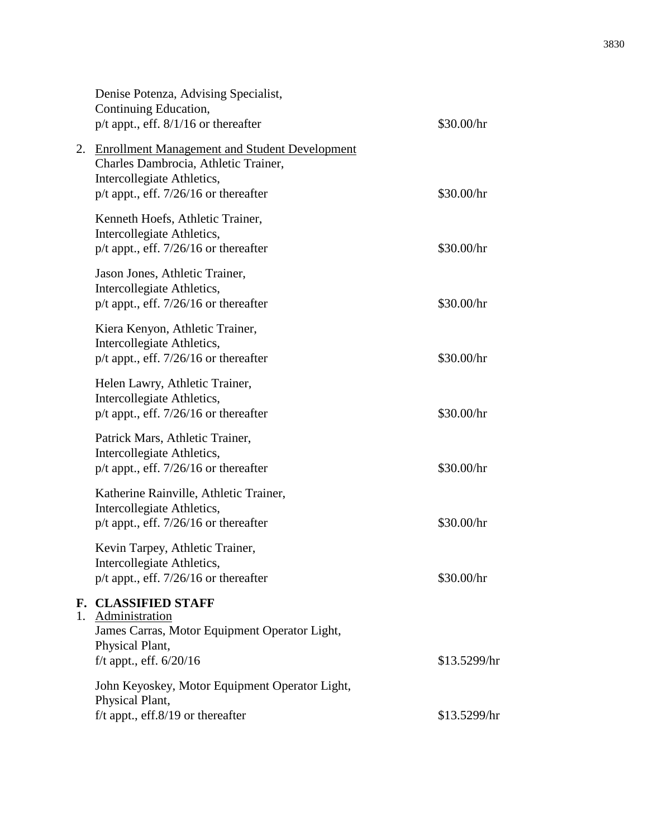|    | Denise Potenza, Advising Specialist,<br>Continuing Education,<br>$p/t$ appt., eff. $8/1/16$ or thereafter                                                             | \$30.00/hr   |
|----|-----------------------------------------------------------------------------------------------------------------------------------------------------------------------|--------------|
| 2. | <b>Enrollment Management and Student Development</b><br>Charles Dambrocia, Athletic Trainer,<br>Intercollegiate Athletics,<br>$p/t$ appt., eff. 7/26/16 or thereafter | \$30.00/hr   |
|    | Kenneth Hoefs, Athletic Trainer,<br>Intercollegiate Athletics,<br>$p/t$ appt., eff. 7/26/16 or thereafter                                                             | \$30.00/hr   |
|    | Jason Jones, Athletic Trainer,<br>Intercollegiate Athletics,<br>$p/t$ appt., eff. 7/26/16 or thereafter                                                               | \$30.00/hr   |
|    | Kiera Kenyon, Athletic Trainer,<br>Intercollegiate Athletics,<br>$p/t$ appt., eff. 7/26/16 or thereafter                                                              | \$30.00/hr   |
|    | Helen Lawry, Athletic Trainer,<br>Intercollegiate Athletics,<br>p/t appt., eff. 7/26/16 or thereafter                                                                 | \$30.00/hr   |
|    | Patrick Mars, Athletic Trainer,<br>Intercollegiate Athletics,<br>$p/t$ appt., eff. 7/26/16 or thereafter                                                              | \$30.00/hr   |
|    | Katherine Rainville, Athletic Trainer,<br>Intercollegiate Athletics,<br>$p/t$ appt., eff. 7/26/16 or thereafter                                                       | \$30.00/hr   |
|    | Kevin Tarpey, Athletic Trainer,<br>Intercollegiate Athletics,<br>$p/t$ appt., eff. 7/26/16 or thereafter                                                              | \$30.00/hr   |
|    | <b>F. CLASSIFIED STAFF</b><br>1. Administration<br>James Carras, Motor Equipment Operator Light,<br>Physical Plant,<br>f/t appt., eff. 6/20/16                        | \$13.5299/hr |
|    | John Keyoskey, Motor Equipment Operator Light,<br>Physical Plant,<br>$f/t$ appt., eff. $8/19$ or thereafter                                                           | \$13.5299/hr |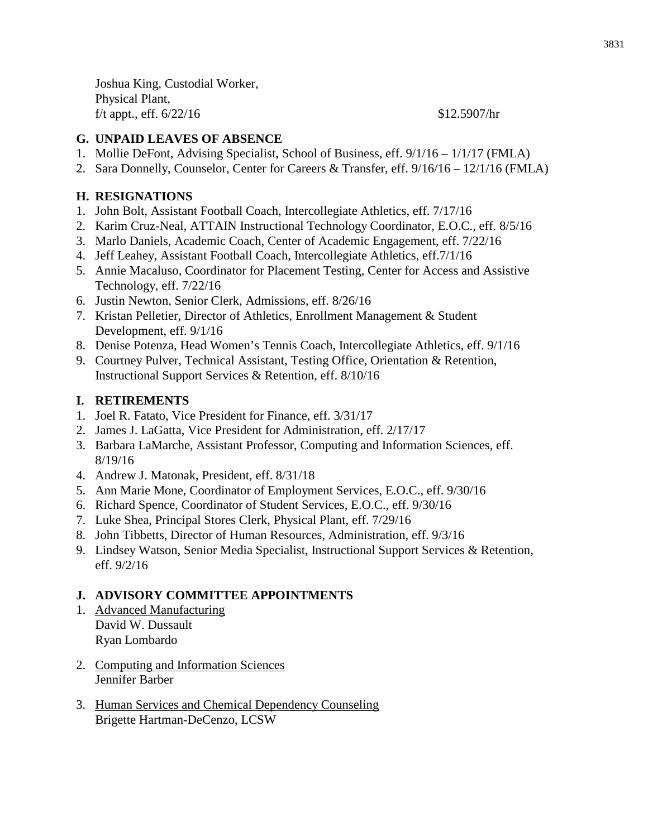Joshua King, Custodial Worker, Physical Plant, f/t appt., eff.  $6/22/16$  \$12.5907/hr

### **G. UNPAID LEAVES OF ABSENCE**

- 1. Mollie DeFont, Advising Specialist, School of Business, eff. 9/1/16 1/1/17 (FMLA)
- 2. Sara Donnelly, Counselor, Center for Careers & Transfer, eff. 9/16/16 12/1/16 (FMLA)

### **H. RESIGNATIONS**

- 1. John Bolt, Assistant Football Coach, Intercollegiate Athletics, eff. 7/17/16
- 2. Karim Cruz-Neal, ATTAIN Instructional Technology Coordinator, E.O.C., eff. 8/5/16
- 3. Marlo Daniels, Academic Coach, Center of Academic Engagement, eff. 7/22/16
- 4. Jeff Leahey, Assistant Football Coach, Intercollegiate Athletics, eff.7/1/16
- 5. Annie Macaluso, Coordinator for Placement Testing, Center for Access and Assistive Technology, eff. 7/22/16
- 6. Justin Newton, Senior Clerk, Admissions, eff. 8/26/16
- 7. Kristan Pelletier, Director of Athletics, Enrollment Management & Student Development, eff. 9/1/16
- 8. Denise Potenza, Head Women's Tennis Coach, Intercollegiate Athletics, eff. 9/1/16
- 9. Courtney Pulver, Technical Assistant, Testing Office, Orientation & Retention, Instructional Support Services & Retention, eff. 8/10/16

### **I. RETIREMENTS**

- 1. Joel R. Fatato, Vice President for Finance, eff. 3/31/17
- 2. James J. LaGatta, Vice President for Administration, eff. 2/17/17
- 3. Barbara LaMarche, Assistant Professor, Computing and Information Sciences, eff. 8/19/16
- 4. Andrew J. Matonak, President, eff. 8/31/18
- 5. Ann Marie Mone, Coordinator of Employment Services, E.O.C., eff. 9/30/16
- 6. Richard Spence, Coordinator of Student Services, E.O.C., eff. 9/30/16
- 7. Luke Shea, Principal Stores Clerk, Physical Plant, eff. 7/29/16
- 8. John Tibbetts, Director of Human Resources, Administration, eff. 9/3/16
- 9. Lindsey Watson, Senior Media Specialist, Instructional Support Services & Retention, eff. 9/2/16

### **J. ADVISORY COMMITTEE APPOINTMENTS**

- 1. Advanced Manufacturing David W. Dussault Ryan Lombardo
- 2. Computing and Information Sciences Jennifer Barber
- 3. Human Services and Chemical Dependency Counseling Brigette Hartman-DeCenzo, LCSW